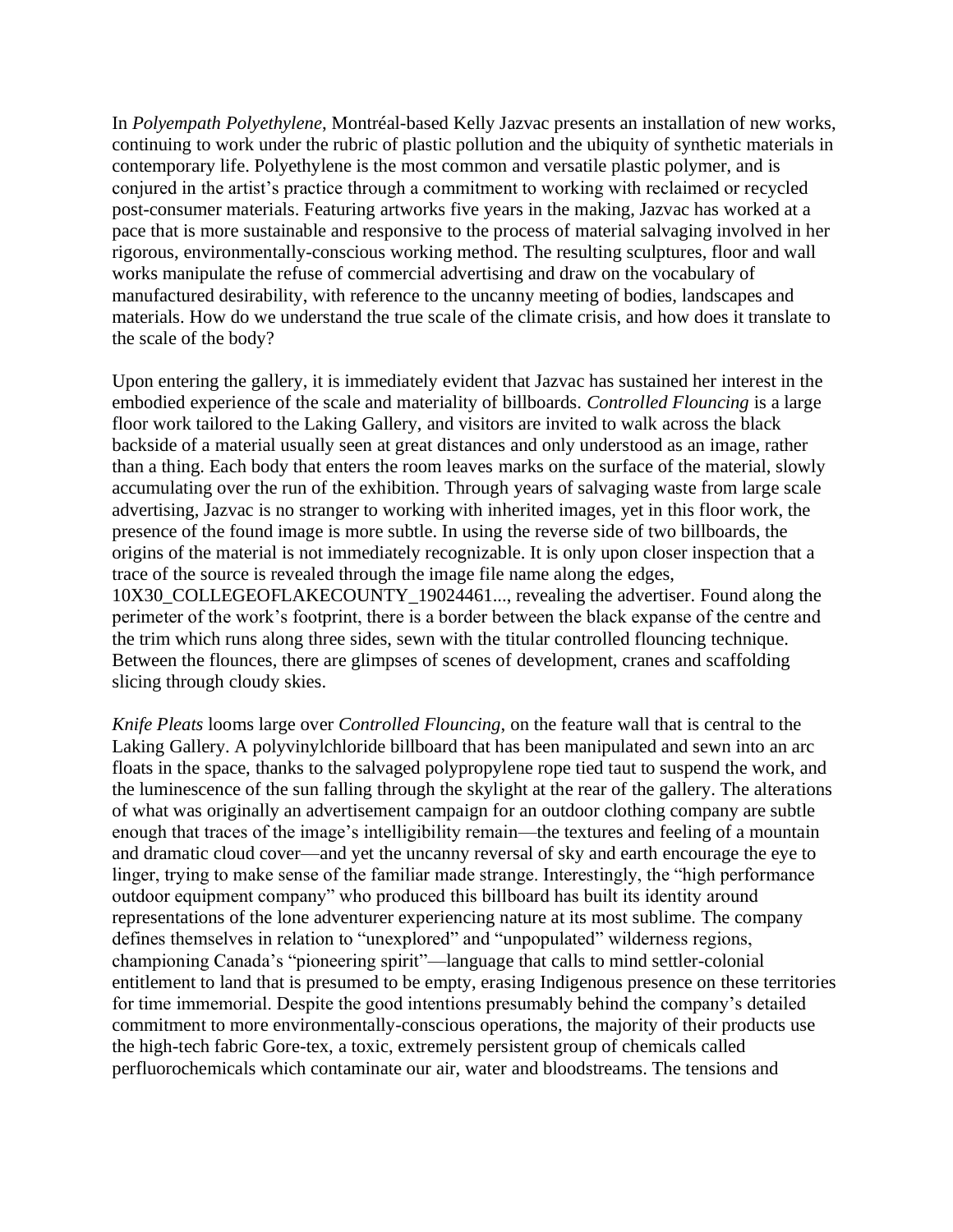In *Polyempath Polyethylene*, Montréal-based Kelly Jazvac presents an installation of new works, continuing to work under the rubric of plastic pollution and the ubiquity of synthetic materials in contemporary life. Polyethylene is the most common and versatile plastic polymer, and is conjured in the artist's practice through a commitment to working with reclaimed or recycled post-consumer materials. Featuring artworks five years in the making, Jazvac has worked at a pace that is more sustainable and responsive to the process of material salvaging involved in her rigorous, environmentally-conscious working method. The resulting sculptures, floor and wall works manipulate the refuse of commercial advertising and draw on the vocabulary of manufactured desirability, with reference to the uncanny meeting of bodies, landscapes and materials. How do we understand the true scale of the climate crisis, and how does it translate to the scale of the body?

Upon entering the gallery, it is immediately evident that Jazvac has sustained her interest in the embodied experience of the scale and materiality of billboards. *Controlled Flouncing* is a large floor work tailored to the Laking Gallery, and visitors are invited to walk across the black backside of a material usually seen at great distances and only understood as an image, rather than a thing. Each body that enters the room leaves marks on the surface of the material, slowly accumulating over the run of the exhibition. Through years of salvaging waste from large scale advertising, Jazvac is no stranger to working with inherited images, yet in this floor work, the presence of the found image is more subtle. In using the reverse side of two billboards, the origins of the material is not immediately recognizable. It is only upon closer inspection that a trace of the source is revealed through the image file name along the edges, 10X30\_COLLEGEOFLAKECOUNTY\_19024461..., revealing the advertiser. Found along the perimeter of the work's footprint, there is a border between the black expanse of the centre and the trim which runs along three sides, sewn with the titular controlled flouncing technique. Between the flounces, there are glimpses of scenes of development, cranes and scaffolding slicing through cloudy skies.

*Knife Pleats* looms large over *Controlled Flouncing*, on the feature wall that is central to the Laking Gallery. A polyvinylchloride billboard that has been manipulated and sewn into an arc floats in the space, thanks to the salvaged polypropylene rope tied taut to suspend the work, and the luminescence of the sun falling through the skylight at the rear of the gallery. The alterations of what was originally an advertisement campaign for an outdoor clothing company are subtle enough that traces of the image's intelligibility remain—the textures and feeling of a mountain and dramatic cloud cover—and yet the uncanny reversal of sky and earth encourage the eye to linger, trying to make sense of the familiar made strange. Interestingly, the "high performance outdoor equipment company" who produced this billboard has built its identity around representations of the lone adventurer experiencing nature at its most sublime. The company defines themselves in relation to "unexplored" and "unpopulated" wilderness regions, championing Canada's "pioneering spirit"—language that calls to mind settler-colonial entitlement to land that is presumed to be empty, erasing Indigenous presence on these territories for time immemorial. Despite the good intentions presumably behind the company's detailed commitment to more environmentally-conscious operations, the majority of their products use the high-tech fabric Gore-tex, a toxic, extremely persistent group of chemicals called perfluorochemicals which contaminate our air, water and bloodstreams. The tensions and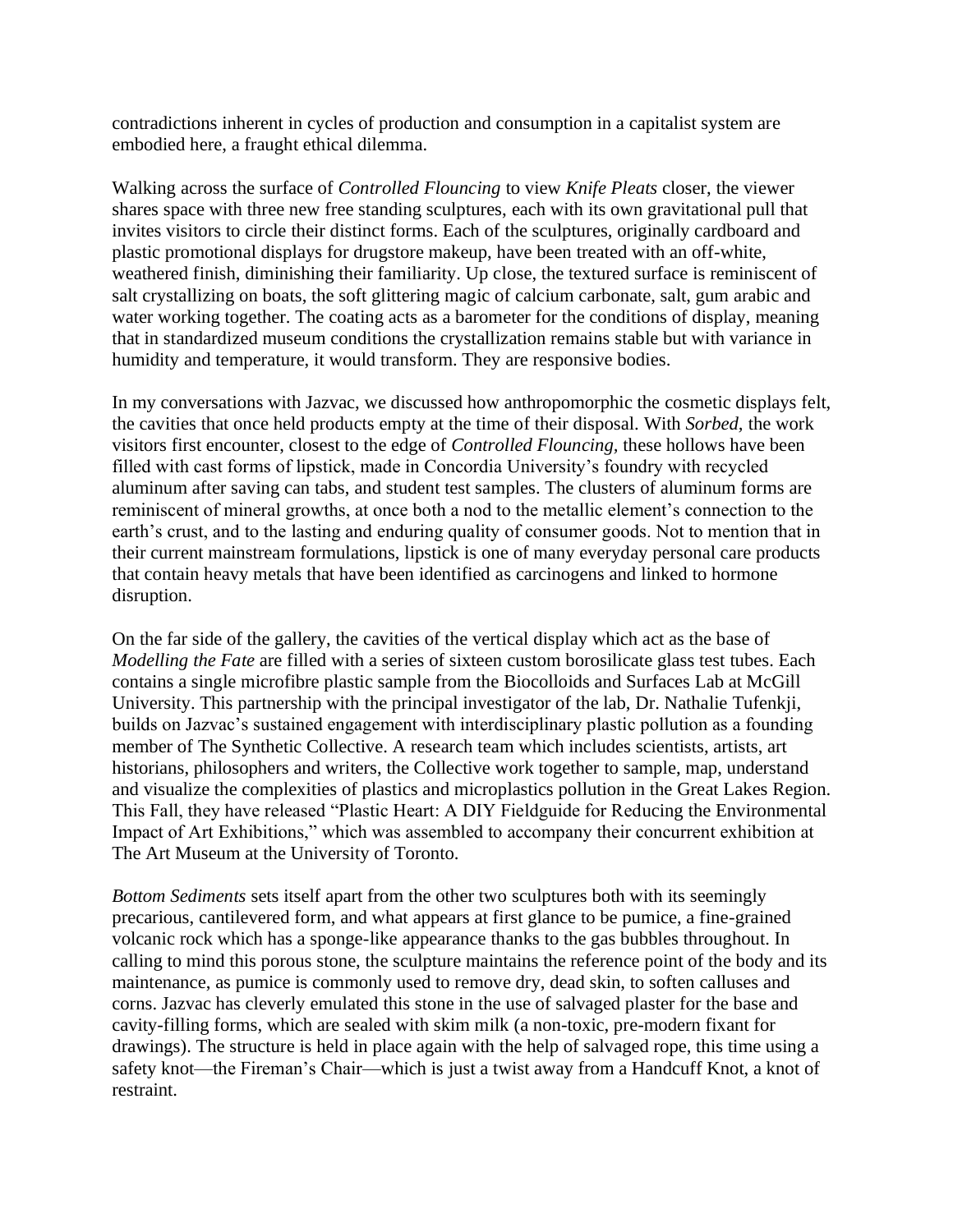contradictions inherent in cycles of production and consumption in a capitalist system are embodied here, a fraught ethical dilemma.

Walking across the surface of *Controlled Flouncing* to view *Knife Pleats* closer, the viewer shares space with three new free standing sculptures, each with its own gravitational pull that invites visitors to circle their distinct forms. Each of the sculptures, originally cardboard and plastic promotional displays for drugstore makeup, have been treated with an off-white, weathered finish, diminishing their familiarity. Up close, the textured surface is reminiscent of salt crystallizing on boats, the soft glittering magic of calcium carbonate, salt, gum arabic and water working together. The coating acts as a barometer for the conditions of display, meaning that in standardized museum conditions the crystallization remains stable but with variance in humidity and temperature, it would transform. They are responsive bodies.

In my conversations with Jazvac, we discussed how anthropomorphic the cosmetic displays felt, the cavities that once held products empty at the time of their disposal. With *Sorbed,* the work visitors first encounter, closest to the edge of *Controlled Flouncing,* these hollows have been filled with cast forms of lipstick, made in Concordia University's foundry with recycled aluminum after saving can tabs, and student test samples. The clusters of aluminum forms are reminiscent of mineral growths, at once both a nod to the metallic element's connection to the earth's crust, and to the lasting and enduring quality of consumer goods. Not to mention that in their current mainstream formulations, lipstick is one of many everyday personal care products that contain heavy metals that have been identified as carcinogens and linked to hormone disruption.

On the far side of the gallery, the cavities of the vertical display which act as the base of *Modelling the Fate are filled with a series of sixteen custom borosilicate glass test tubes. Each* contains a single microfibre plastic sample from the Biocolloids and Surfaces Lab at McGill University. This partnership with the principal investigator of the lab, Dr. Nathalie Tufenkji, builds on Jazvac's sustained engagement with interdisciplinary plastic pollution as a founding member of The Synthetic Collective. A research team which includes scientists, artists, art historians, philosophers and writers, the Collective work together to sample, map, understand and visualize the complexities of plastics and microplastics pollution in the Great Lakes Region. This Fall, they have released "Plastic Heart: A DIY Fieldguide for Reducing the Environmental Impact of Art Exhibitions," which was assembled to accompany their concurrent exhibition at The Art Museum at the University of Toronto.

*Bottom Sediments* sets itself apart from the other two sculptures both with its seemingly precarious, cantilevered form, and what appears at first glance to be pumice, a fine-grained volcanic rock which has a sponge-like appearance thanks to the gas bubbles throughout. In calling to mind this porous stone, the sculpture maintains the reference point of the body and its maintenance, as pumice is commonly used to remove dry, dead skin, to soften calluses and corns. Jazvac has cleverly emulated this stone in the use of salvaged plaster for the base and cavity-filling forms, which are sealed with skim milk (a non-toxic, pre-modern fixant for drawings). The structure is held in place again with the help of salvaged rope, this time using a safety knot—the Fireman's Chair—which is just a twist away from a Handcuff Knot, a knot of restraint.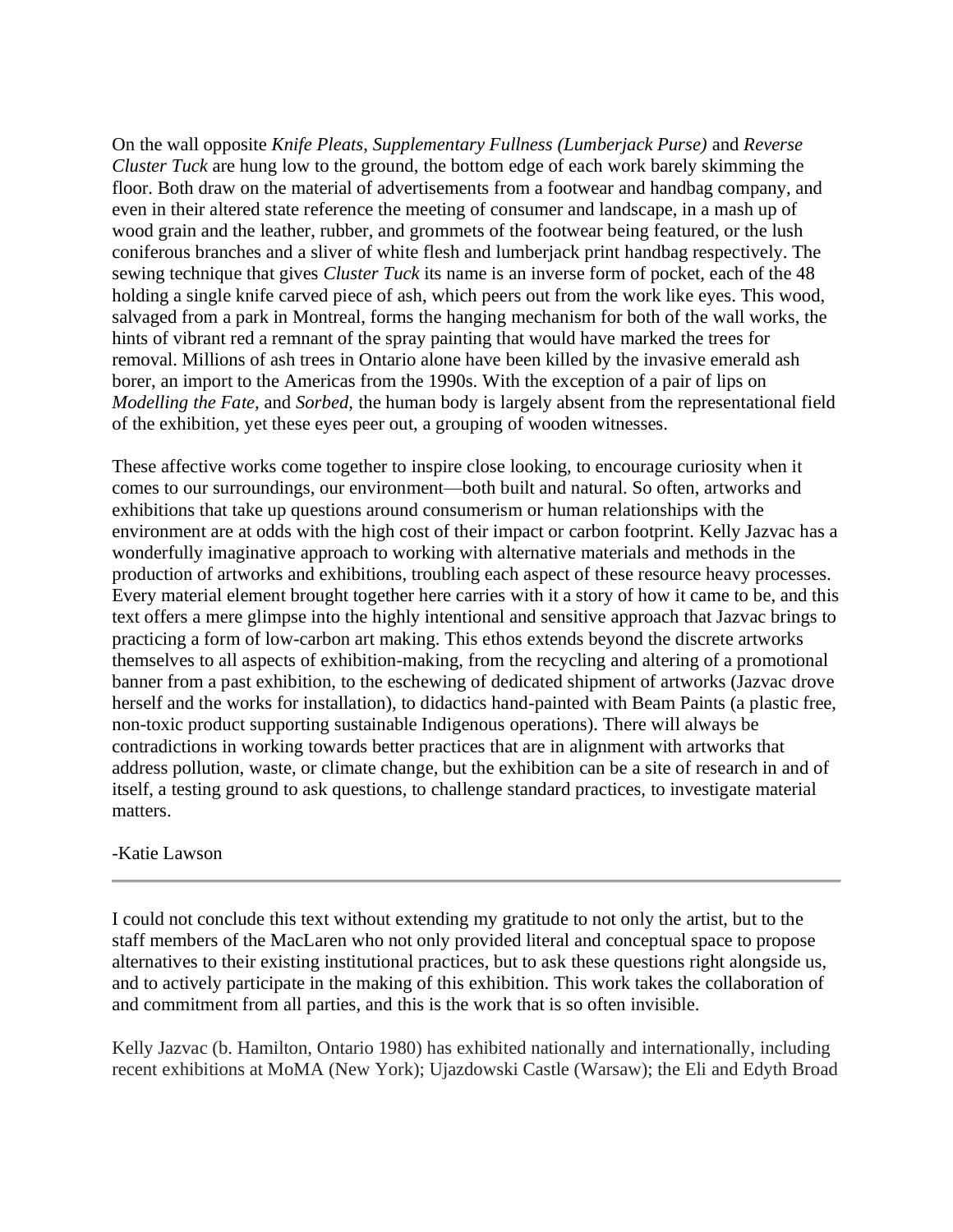On the wall opposite *Knife Pleats*, *Supplementary Fullness (Lumberjack Purse)* and *Reverse Cluster Tuck* are hung low to the ground, the bottom edge of each work barely skimming the floor. Both draw on the material of advertisements from a footwear and handbag company, and even in their altered state reference the meeting of consumer and landscape, in a mash up of wood grain and the leather, rubber, and grommets of the footwear being featured, or the lush coniferous branches and a sliver of white flesh and lumberjack print handbag respectively. The sewing technique that gives *Cluster Tuck* its name is an inverse form of pocket, each of the 48 holding a single knife carved piece of ash, which peers out from the work like eyes. This wood, salvaged from a park in Montreal, forms the hanging mechanism for both of the wall works, the hints of vibrant red a remnant of the spray painting that would have marked the trees for removal. Millions of ash trees in Ontario alone have been killed by the invasive emerald ash borer, an import to the Americas from the 1990s. With the exception of a pair of lips on *Modelling the Fate,* and *Sorbed,* the human body is largely absent from the representational field of the exhibition, yet these eyes peer out, a grouping of wooden witnesses.

These affective works come together to inspire close looking, to encourage curiosity when it comes to our surroundings, our environment—both built and natural. So often, artworks and exhibitions that take up questions around consumerism or human relationships with the environment are at odds with the high cost of their impact or carbon footprint. Kelly Jazvac has a wonderfully imaginative approach to working with alternative materials and methods in the production of artworks and exhibitions, troubling each aspect of these resource heavy processes. Every material element brought together here carries with it a story of how it came to be, and this text offers a mere glimpse into the highly intentional and sensitive approach that Jazvac brings to practicing a form of low-carbon art making. This ethos extends beyond the discrete artworks themselves to all aspects of exhibition-making, from the recycling and altering of a promotional banner from a past exhibition, to the eschewing of dedicated shipment of artworks (Jazvac drove herself and the works for installation), to didactics hand-painted with Beam Paints (a plastic free, non-toxic product supporting sustainable Indigenous operations). There will always be contradictions in working towards better practices that are in alignment with artworks that address pollution, waste, or climate change, but the exhibition can be a site of research in and of itself, a testing ground to ask questions, to challenge standard practices, to investigate material matters.

## -Katie Lawson

I could not conclude this text without extending my gratitude to not only the artist, but to the staff members of the MacLaren who not only provided literal and conceptual space to propose alternatives to their existing institutional practices, but to ask these questions right alongside us, and to actively participate in the making of this exhibition. This work takes the collaboration of and commitment from all parties, and this is the work that is so often invisible.

Kelly Jazvac (b. Hamilton, Ontario 1980) has exhibited nationally and internationally, including recent exhibitions at MoMA (New York); Ujazdowski Castle (Warsaw); the Eli and Edyth Broad